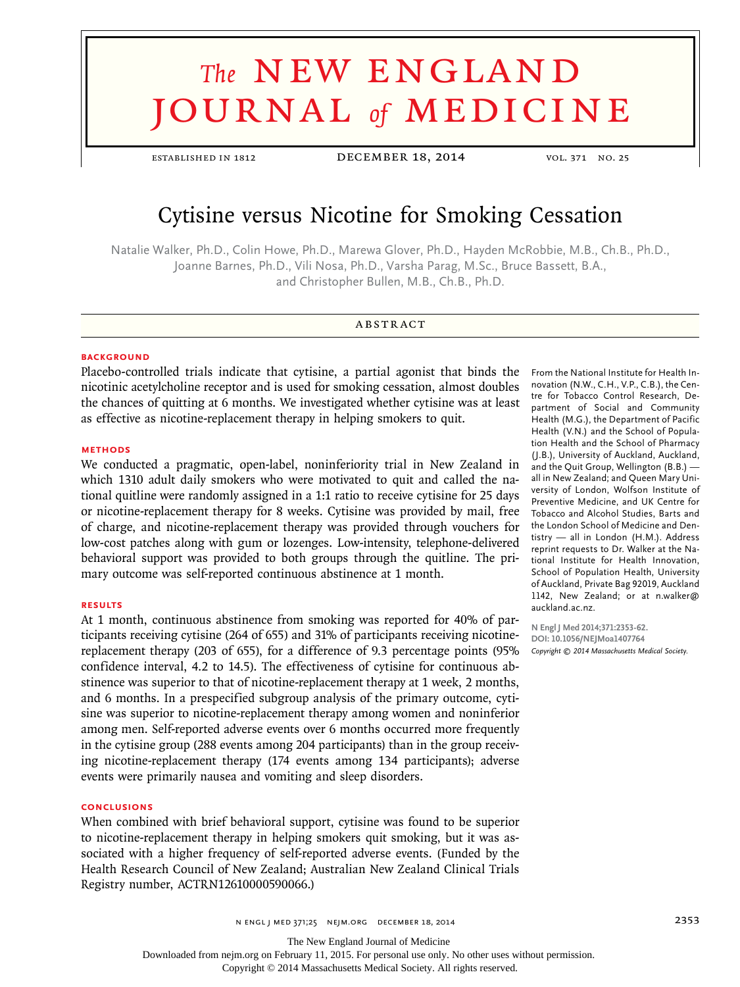# **The NEW ENGLAND** journal *of* medicine

established in 1812 December 18, 2014 vol. 371 no. 25

# Cytisine versus Nicotine for Smoking Cessation

Natalie Walker, Ph.D., Colin Howe, Ph.D., Marewa Glover, Ph.D., Hayden McRobbie, M.B., Ch.B., Ph.D., Joanne Barnes, Ph.D., Vili Nosa, Ph.D., Varsha Parag, M.Sc., Bruce Bassett, B.A., and Christopher Bullen, M.B., Ch.B., Ph.D.

# **ABSTRACT**

# **BACKGROUND**

Placebo-controlled trials indicate that cytisine, a partial agonist that binds the nicotinic acetylcholine receptor and is used for smoking cessation, almost doubles the chances of quitting at 6 months. We investigated whether cytisine was at least as effective as nicotine-replacement therapy in helping smokers to quit.

#### **METHODS**

We conducted a pragmatic, open-label, noninferiority trial in New Zealand in which 1310 adult daily smokers who were motivated to quit and called the national quitline were randomly assigned in a 1:1 ratio to receive cytisine for 25 days or nicotine-replacement therapy for 8 weeks. Cytisine was provided by mail, free of charge, and nicotine-replacement therapy was provided through vouchers for low-cost patches along with gum or lozenges. Low-intensity, telephone-delivered behavioral support was provided to both groups through the quitline. The primary outcome was self-reported continuous abstinence at 1 month.

#### **RESULTS**

At 1 month, continuous abstinence from smoking was reported for 40% of participants receiving cytisine (264 of 655) and 31% of participants receiving nicotinereplacement therapy (203 of 655), for a difference of 9.3 percentage points (95% confidence interval, 4.2 to 14.5). The effectiveness of cytisine for continuous abstinence was superior to that of nicotine-replacement therapy at 1 week, 2 months, and 6 months. In a prespecified subgroup analysis of the primary outcome, cytisine was superior to nicotine-replacement therapy among women and noninferior among men. Self-reported adverse events over 6 months occurred more frequently in the cytisine group (288 events among 204 participants) than in the group receiving nicotine-replacement therapy (174 events among 134 participants); adverse events were primarily nausea and vomiting and sleep disorders.

## **CONCLUSIONS**

When combined with brief behavioral support, cytisine was found to be superior to nicotine-replacement therapy in helping smokers quit smoking, but it was associated with a higher frequency of self-reported adverse events. (Funded by the Health Research Council of New Zealand; Australian New Zealand Clinical Trials Registry number, ACTRN12610000590066.)

From the National Institute for Health Innovation (N.W., C.H., V.P., C.B.), the Centre for Tobacco Control Research, Department of Social and Community Health (M.G.), the Department of Pacific Health (V.N.) and the School of Population Health and the School of Pharmacy (J.B.), University of Auckland, Auckland, and the Quit Group, Wellington (B.B.) all in New Zealand; and Queen Mary University of London, Wolfson Institute of Preventive Medicine, and UK Centre for Tobacco and Alcohol Studies, Barts and the London School of Medicine and Dentistry — all in London (H.M.). Address reprint requests to Dr. Walker at the National Institute for Health Innovation, School of Population Health, University of Auckland, Private Bag 92019, Auckland 1142, New Zealand; or at n.walker@ auckland.ac.nz.

**N Engl J Med 2014;371:2353-62. DOI: 10.1056/NEJMoa1407764** *Copyright © 2014 Massachusetts Medical Society.*

n engl j med 371;25 nejm.org December 18, 2014 2353

The New England Journal of Medicine

Downloaded from nejm.org on February 11, 2015. For personal use only. No other uses without permission.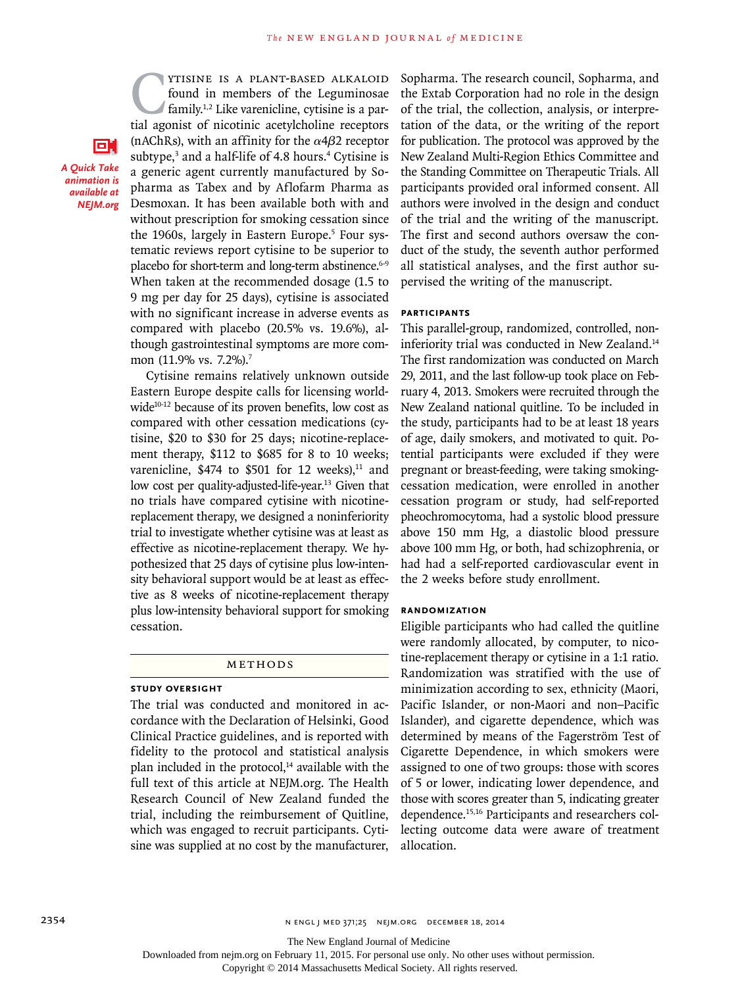**CYTISINE IS A PLANT-BASED ALKALOID**<br>found in members of the Leguminosae<br>family.<sup>1,2</sup> Like varenicline, cytisine is a par-<br>tial agonist of nicotinic acetylcholine receptors found in members of the Leguminosae family.1,2 Like varenicline, cytisine is a partial agonist of nicotinic acetylcholine receptors (nAChRs), with an affinity for the  $\alpha$ 4 $\beta$ 2 receptor subtype,<sup>3</sup> and a half-life of 4.8 hours.<sup>4</sup> Cytisine is a generic agent currently manufactured by Sopharma as Tabex and by Aflofarm Pharma as Desmoxan. It has been available both with and without prescription for smoking cessation since the 1960s, largely in Eastern Europe.<sup>5</sup> Four systematic reviews report cytisine to be superior to placebo for short-term and long-term abstinence.<sup>6-9</sup> When taken at the recommended dosage (1.5 to 9 mg per day for 25 days), cytisine is associated with no significant increase in adverse events as compared with placebo (20.5% vs. 19.6%), although gastrointestinal symptoms are more common (11.9% vs. 7.2%).<sup>7</sup>

*A Quick Take animation is available at NEJM.org*

оr

Cytisine remains relatively unknown outside Eastern Europe despite calls for licensing worldwide<sup>10-12</sup> because of its proven benefits, low cost as compared with other cessation medications (cytisine, \$20 to \$30 for 25 days; nicotine-replacement therapy, \$112 to \$685 for 8 to 10 weeks; varenicline,  $$474$  to  $$501$  for 12 weeks),<sup>11</sup> and low cost per quality-adjusted-life-year.<sup>13</sup> Given that no trials have compared cytisine with nicotinereplacement therapy, we designed a noninferiority trial to investigate whether cytisine was at least as effective as nicotine-replacement therapy. We hypothesized that 25 days of cytisine plus low-intensity behavioral support would be at least as effective as 8 weeks of nicotine-replacement therapy plus low-intensity behavioral support for smoking cessation.

#### Methods

# **Study Oversight**

The trial was conducted and monitored in accordance with the Declaration of Helsinki, Good Clinical Practice guidelines, and is reported with fidelity to the protocol and statistical analysis plan included in the protocol, $14$  available with the full text of this article at NEJM.org. The Health Research Council of New Zealand funded the trial, including the reimbursement of Quitline, which was engaged to recruit participants. Cytisine was supplied at no cost by the manufacturer, Sopharma. The research council, Sopharma, and the Extab Corporation had no role in the design of the trial, the collection, analysis, or interpretation of the data, or the writing of the report for publication. The protocol was approved by the New Zealand Multi-Region Ethics Committee and the Standing Committee on Therapeutic Trials. All participants provided oral informed consent. All authors were involved in the design and conduct of the trial and the writing of the manuscript. The first and second authors oversaw the conduct of the study, the seventh author performed all statistical analyses, and the first author supervised the writing of the manuscript.

## **Participants**

This parallel-group, randomized, controlled, noninferiority trial was conducted in New Zealand.<sup>14</sup> The first randomization was conducted on March 29, 2011, and the last follow-up took place on February 4, 2013. Smokers were recruited through the New Zealand national quitline. To be included in the study, participants had to be at least 18 years of age, daily smokers, and motivated to quit. Potential participants were excluded if they were pregnant or breast-feeding, were taking smokingcessation medication, were enrolled in another cessation program or study, had self-reported pheochromocytoma, had a systolic blood pressure above 150 mm Hg, a diastolic blood pressure above 100 mm Hg, or both, had schizophrenia, or had had a self-reported cardiovascular event in the 2 weeks before study enrollment.

#### **Randomization**

Eligible participants who had called the quitline were randomly allocated, by computer, to nicotine-replacement therapy or cytisine in a 1:1 ratio. Randomization was stratified with the use of minimization according to sex, ethnicity (Maori, Pacific Islander, or non-Maori and non–Pacific Islander), and cigarette dependence, which was determined by means of the Fagerström Test of Cigarette Dependence, in which smokers were assigned to one of two groups: those with scores of 5 or lower, indicating lower dependence, and those with scores greater than 5, indicating greater dependence.15,16 Participants and researchers collecting outcome data were aware of treatment allocation.

The New England Journal of Medicine

Downloaded from nejm.org on February 11, 2015. For personal use only. No other uses without permission.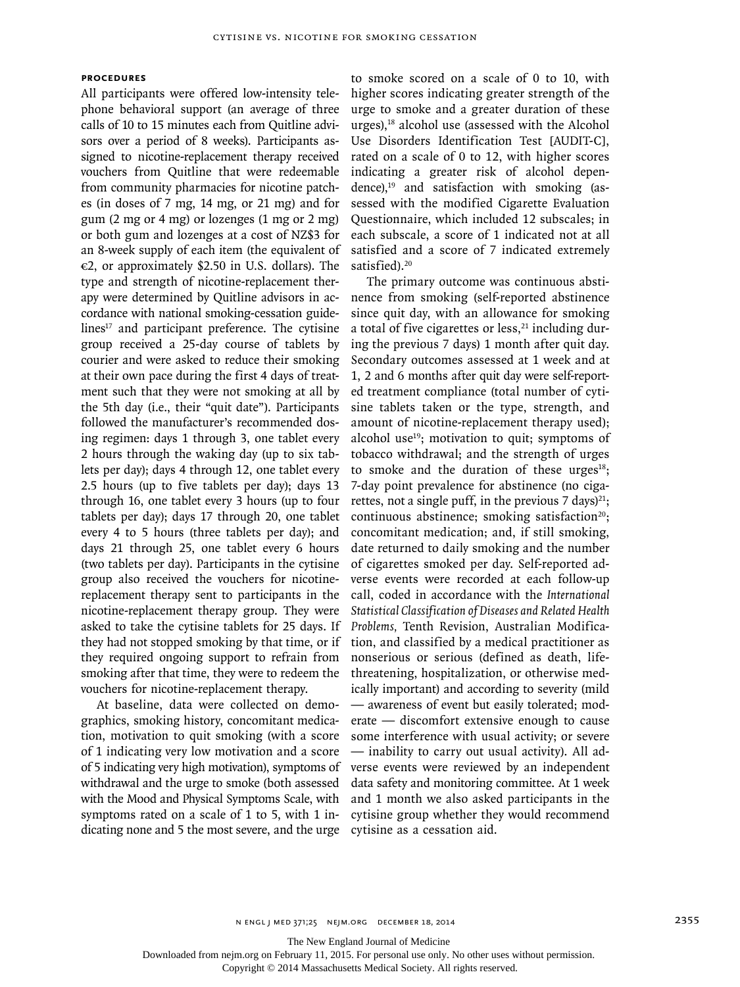# **Procedures**

All participants were offered low-intensity telephone behavioral support (an average of three calls of 10 to 15 minutes each from Quitline advisors over a period of 8 weeks). Participants assigned to nicotine-replacement therapy received vouchers from Quitline that were redeemable from community pharmacies for nicotine patches (in doses of 7 mg, 14 mg, or 21 mg) and for gum (2 mg or 4 mg) or lozenges (1 mg or 2 mg) or both gum and lozenges at a cost of NZ\$3 for an 8-week supply of each item (the equivalent of  $\epsilon$ 2, or approximately \$2.50 in U.S. dollars). The type and strength of nicotine-replacement therapy were determined by Quitline advisors in accordance with national smoking-cessation guidelines $17$  and participant preference. The cytisine group received a 25-day course of tablets by courier and were asked to reduce their smoking at their own pace during the first 4 days of treatment such that they were not smoking at all by the 5th day (i.e., their "quit date"). Participants followed the manufacturer's recommended dosing regimen: days 1 through 3, one tablet every 2 hours through the waking day (up to six tablets per day); days 4 through 12, one tablet every 2.5 hours (up to five tablets per day); days 13 through 16, one tablet every 3 hours (up to four tablets per day); days 17 through 20, one tablet every 4 to 5 hours (three tablets per day); and days 21 through 25, one tablet every 6 hours (two tablets per day). Participants in the cytisine group also received the vouchers for nicotinereplacement therapy sent to participants in the nicotine-replacement therapy group. They were asked to take the cytisine tablets for 25 days. If they had not stopped smoking by that time, or if they required ongoing support to refrain from smoking after that time, they were to redeem the vouchers for nicotine-replacement therapy.

At baseline, data were collected on demographics, smoking history, concomitant medication, motivation to quit smoking (with a score of 1 indicating very low motivation and a score of 5 indicating very high motivation), symptoms of withdrawal and the urge to smoke (both assessed with the Mood and Physical Symptoms Scale, with symptoms rated on a scale of 1 to 5, with 1 indicating none and 5 the most severe, and the urge to smoke scored on a scale of 0 to 10, with higher scores indicating greater strength of the urge to smoke and a greater duration of these urges), $18$  alcohol use (assessed with the Alcohol Use Disorders Identification Test [AUDIT-C], rated on a scale of 0 to 12, with higher scores indicating a greater risk of alcohol dependence), $19$  and satisfaction with smoking (assessed with the modified Cigarette Evaluation Questionnaire, which included 12 subscales; in each subscale, a score of 1 indicated not at all satisfied and a score of 7 indicated extremely satisfied).<sup>20</sup>

The primary outcome was continuous abstinence from smoking (self-reported abstinence since quit day, with an allowance for smoking a total of five cigarettes or less, $21$  including during the previous 7 days) 1 month after quit day. Secondary outcomes assessed at 1 week and at 1, 2 and 6 months after quit day were self-reported treatment compliance (total number of cytisine tablets taken or the type, strength, and amount of nicotine-replacement therapy used); alcohol use<sup>19</sup>; motivation to quit; symptoms of tobacco withdrawal; and the strength of urges to smoke and the duration of these urges $18$ ; 7-day point prevalence for abstinence (no cigarettes, not a single puff, in the previous 7 days)<sup>21</sup>; continuous abstinence; smoking satisfaction $20$ ; concomitant medication; and, if still smoking, date returned to daily smoking and the number of cigarettes smoked per day. Self-reported adverse events were recorded at each follow-up call, coded in accordance with the *International Statistical Classification of Diseases and Related Health Problems,* Tenth Revision, Australian Modification, and classified by a medical practitioner as nonserious or serious (defined as death, lifethreatening, hospitalization, or otherwise medically important) and according to severity (mild — awareness of event but easily tolerated; moderate — discomfort extensive enough to cause some interference with usual activity; or severe — inability to carry out usual activity). All adverse events were reviewed by an independent data safety and monitoring committee. At 1 week and 1 month we also asked participants in the cytisine group whether they would recommend cytisine as a cessation aid.

The New England Journal of Medicine

Downloaded from nejm.org on February 11, 2015. For personal use only. No other uses without permission.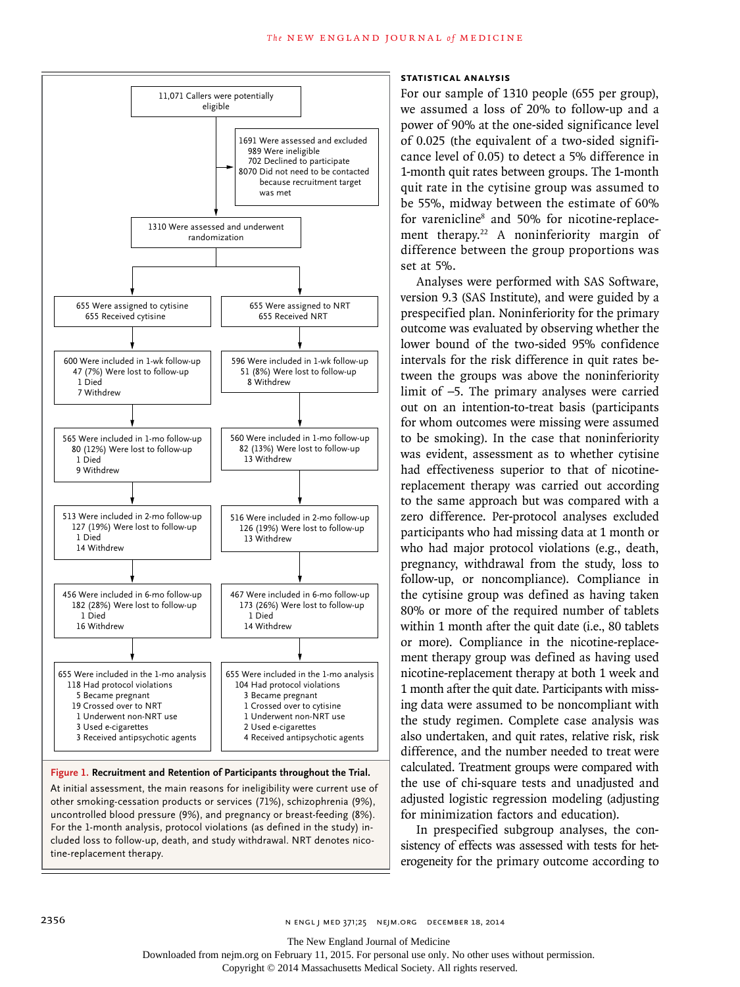

#### **Figure 1. Recruitment and Retention of Participants throughout the Trial.**

At initial assessment, the main reasons for ineligibility were current use of other smoking-cessation products or services (71%), schizophrenia (9%), uncontrolled blood pressure (9%), and pregnancy or breast-feeding (8%). For the 1-month analysis, protocol violations (as defined in the study) included loss to follow-up, death, and study withdrawal. NRT denotes nicotine-replacement therapy.

# **Statistical Analysis**

For our sample of 1310 people (655 per group), we assumed a loss of 20% to follow-up and a power of 90% at the one-sided significance level of 0.025 (the equivalent of a two-sided significance level of 0.05) to detect a 5% difference in 1-month quit rates between groups. The 1-month quit rate in the cytisine group was assumed to be 55%, midway between the estimate of 60% for varenicline<sup>8</sup> and 50% for nicotine-replacement therapy.<sup>22</sup> A noninferiority margin of difference between the group proportions was set at 5%.

Analyses were performed with SAS Software, version 9.3 (SAS Institute), and were guided by a prespecified plan. Noninferiority for the primary outcome was evaluated by observing whether the lower bound of the two-sided 95% confidence intervals for the risk difference in quit rates between the groups was above the noninferiority limit of −5. The primary analyses were carried out on an intention-to-treat basis (participants for whom outcomes were missing were assumed to be smoking). In the case that noninferiority was evident, assessment as to whether cytisine had effectiveness superior to that of nicotinereplacement therapy was carried out according to the same approach but was compared with a zero difference. Per-protocol analyses excluded participants who had missing data at 1 month or who had major protocol violations (e.g., death, pregnancy, withdrawal from the study, loss to follow-up, or noncompliance). Compliance in the cytisine group was defined as having taken 80% or more of the required number of tablets within 1 month after the quit date (i.e., 80 tablets or more). Compliance in the nicotine-replacement therapy group was defined as having used nicotine-replacement therapy at both 1 week and 1 month after the quit date. Participants with missing data were assumed to be noncompliant with the study regimen. Complete case analysis was also undertaken, and quit rates, relative risk, risk difference, and the number needed to treat were calculated. Treatment groups were compared with the use of chi-square tests and unadjusted and adjusted logistic regression modeling (adjusting for minimization factors and education).

In prespecified subgroup analyses, the consistency of effects was assessed with tests for heterogeneity for the primary outcome according to

Downloaded from nejm.org on February 11, 2015. For personal use only. No other uses without permission.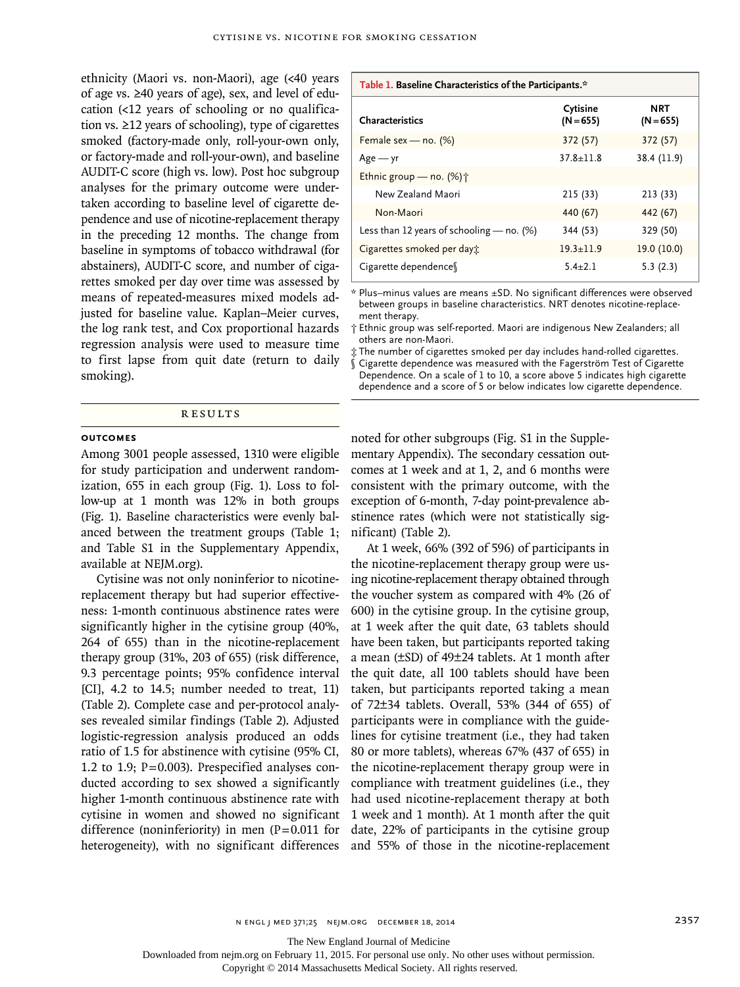ethnicity (Maori vs. non-Maori), age (<40 years of age vs. ≥40 years of age), sex, and level of education (<12 years of schooling or no qualification vs. ≥12 years of schooling), type of cigarettes smoked (factory-made only, roll-your-own only, or factory-made and roll-your-own), and baseline AUDIT-C score (high vs. low). Post hoc subgroup analyses for the primary outcome were undertaken according to baseline level of cigarette dependence and use of nicotine-replacement therapy in the preceding 12 months. The change from baseline in symptoms of tobacco withdrawal (for abstainers), AUDIT-C score, and number of cigarettes smoked per day over time was assessed by means of repeated-measures mixed models adjusted for baseline value. Kaplan–Meier curves, the log rank test, and Cox proportional hazards regression analysis were used to measure time to first lapse from quit date (return to daily smoking).

# Results

# **Outcomes**

Among 3001 people assessed, 1310 were eligible for study participation and underwent randomization, 655 in each group (Fig. 1). Loss to follow-up at 1 month was 12% in both groups (Fig. 1). Baseline characteristics were evenly balanced between the treatment groups (Table 1; and Table S1 in the Supplementary Appendix, available at NEJM.org).

Cytisine was not only noninferior to nicotinereplacement therapy but had superior effectiveness: 1-month continuous abstinence rates were significantly higher in the cytisine group (40%, 264 of 655) than in the nicotine-replacement therapy group (31%, 203 of 655) (risk difference, 9.3 percentage points; 95% confidence interval [CI], 4.2 to 14.5; number needed to treat, 11) (Table 2). Complete case and per-protocol analyses revealed similar findings (Table 2). Adjusted logistic-regression analysis produced an odds ratio of 1.5 for abstinence with cytisine (95% CI, 1.2 to 1.9; P=0.003). Prespecified analyses conducted according to sex showed a significantly higher 1-month continuous abstinence rate with cytisine in women and showed no significant difference (noninferiority) in men  $(P=0.011$  for heterogeneity), with no significant differences

#### **Table 1. Baseline Characteristics of the Participants.\***

| Characteristics                             | Cytisine<br>$(N = 655)$ | <b>NRT</b><br>$(N = 655)$ |
|---------------------------------------------|-------------------------|---------------------------|
| Female sex - no. $(%)$                      | 372 (57)                | 372 (57)                  |
| $Age - yr$                                  | $37.8 + 11.8$           | 38.4 (11.9)               |
| Ethnic group – no. $(\%)\uparrow$           |                         |                           |
| New Zealand Maori                           | 215 (33)                | 213 (33)                  |
| Non-Maori                                   | 440 (67)                | 442 (67)                  |
| Less than 12 years of schooling $-$ no. (%) | 344 (53)                | 329 (50)                  |
| Cigarettes smoked per day:                  | $19.3 \pm 11.9$         | 19.0 (10.0)               |
| Cigarette dependence                        | $5.4 + 2.1$             | 5.3(2.3)                  |

\* Plus–minus values are means ±SD. No significant differences were observed between groups in baseline characteristics. NRT denotes nicotine-replacement therapy.

† Ethnic group was self-reported. Maori are indigenous New Zealanders; all others are non-Maori.

‡ The number of cigarettes smoked per day includes hand-rolled cigarettes. § Cigarette dependence was measured with the Fagerström Test of Cigarette

Dependence. On a scale of 1 to 10, a score above 5 indicates high cigarette dependence and a score of 5 or below indicates low cigarette dependence.

noted for other subgroups (Fig. S1 in the Supplementary Appendix). The secondary cessation outcomes at 1 week and at 1, 2, and 6 months were consistent with the primary outcome, with the exception of 6-month, 7-day point-prevalence abstinence rates (which were not statistically significant) (Table 2).

At 1 week, 66% (392 of 596) of participants in the nicotine-replacement therapy group were using nicotine-replacement therapy obtained through the voucher system as compared with 4% (26 of 600) in the cytisine group. In the cytisine group, at 1 week after the quit date, 63 tablets should have been taken, but participants reported taking a mean (±SD) of 49±24 tablets. At 1 month after the quit date, all 100 tablets should have been taken, but participants reported taking a mean of 72±34 tablets. Overall, 53% (344 of 655) of participants were in compliance with the guidelines for cytisine treatment (i.e., they had taken 80 or more tablets), whereas 67% (437 of 655) in the nicotine-replacement therapy group were in compliance with treatment guidelines (i.e., they had used nicotine-replacement therapy at both 1 week and 1 month). At 1 month after the quit date, 22% of participants in the cytisine group and 55% of those in the nicotine-replacement

The New England Journal of Medicine

Downloaded from nejm.org on February 11, 2015. For personal use only. No other uses without permission.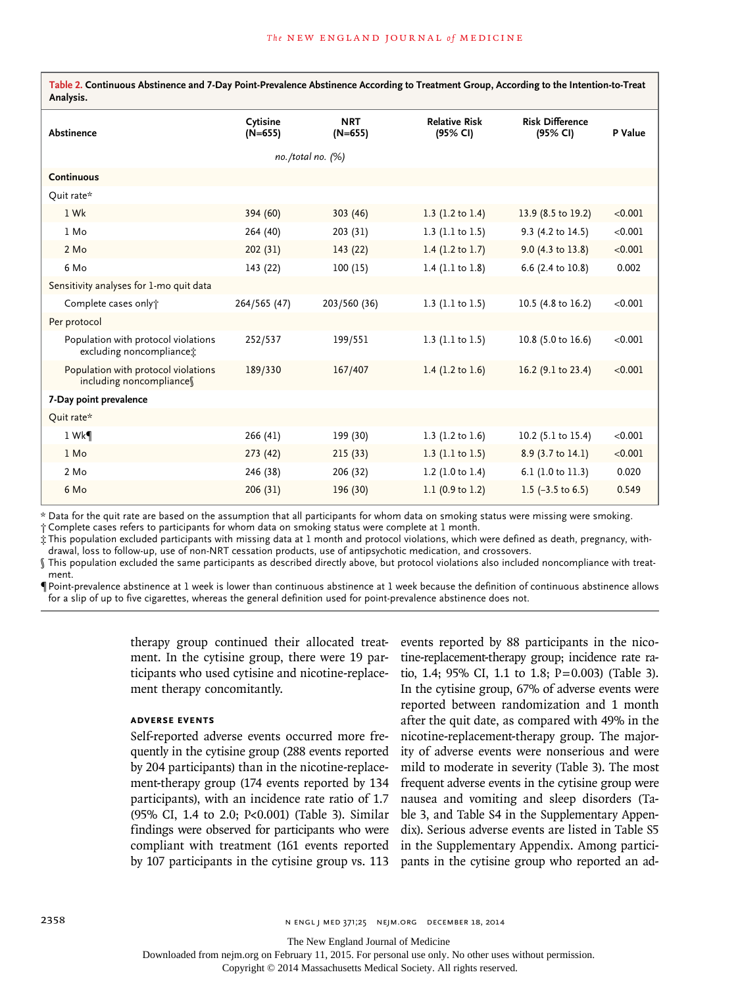**Table 2. Continuous Abstinence and 7-Day Point-Prevalence Abstinence According to Treatment Group, According to the Intention-to-Treat Analysis.**

| Abstinence                                                      | Cytisine<br>$(N=655)$ | <b>NRT</b><br>$(N=655)$ | <b>Relative Risk</b><br>(95% CI) | <b>Risk Difference</b><br>(95% CI) | P Value |  |  |
|-----------------------------------------------------------------|-----------------------|-------------------------|----------------------------------|------------------------------------|---------|--|--|
| no./total no. (%)                                               |                       |                         |                                  |                                    |         |  |  |
| <b>Continuous</b>                                               |                       |                         |                                  |                                    |         |  |  |
| Quit rate*                                                      |                       |                         |                                  |                                    |         |  |  |
| 1 Wk                                                            | 394 (60)              | 303 (46)                | 1.3 $(1.2 \text{ to } 1.4)$      | 13.9 (8.5 to 19.2)                 | < 0.001 |  |  |
| $1$ Mo                                                          | 264 (40)              | 203 (31)                | 1.3 $(1.1 to 1.5)$               | 9.3 (4.2 to 14.5)                  | < 0.001 |  |  |
| 2 Mo                                                            | 202(31)               | 143(22)                 | 1.4 $(1.2 \text{ to } 1.7)$      | 9.0 (4.3 to 13.8)                  | < 0.001 |  |  |
| 6 Mo                                                            | 143 (22)              | 100(15)                 | 1.4 $(1.1 to 1.8)$               | 6.6 (2.4 to 10.8)                  | 0.002   |  |  |
| Sensitivity analyses for 1-mo quit data                         |                       |                         |                                  |                                    |         |  |  |
| Complete cases only†                                            | 264/565 (47)          | 203/560 (36)            | 1.3 $(1.1 to 1.5)$               | 10.5 (4.8 to 16.2)                 | < 0.001 |  |  |
| Per protocol                                                    |                       |                         |                                  |                                    |         |  |  |
| Population with protocol violations<br>excluding noncompliance: | 252/537               | 199/551                 | 1.3 $(1.1 to 1.5)$               | 10.8 (5.0 to 16.6)                 | < 0.001 |  |  |
| Population with protocol violations<br>including noncompliance  | 189/330               | 167/407                 | 1.4 $(1.2 \text{ to } 1.6)$      | 16.2 (9.1 to 23.4)                 | < 0.001 |  |  |
| 7-Day point prevalence                                          |                       |                         |                                  |                                    |         |  |  |
| Quit rate*                                                      |                       |                         |                                  |                                    |         |  |  |
| 1 Wk                                                            | 266(41)               | 199 (30)                | 1.3 $(1.2 \text{ to } 1.6)$      | 10.2 (5.1 to 15.4)                 | < 0.001 |  |  |
| 1 Mo                                                            | 273(42)               | 215(33)                 | 1.3 $(1.1 to 1.5)$               | 8.9 (3.7 to 14.1)                  | < 0.001 |  |  |
| 2 Mo                                                            | 246 (38)              | 206 (32)                | 1.2 $(1.0 to 1.4)$               | 6.1 (1.0 to 11.3)                  | 0.020   |  |  |
| 6 Mo                                                            | 206(31)               | 196 (30)                | 1.1 $(0.9 \text{ to } 1.2)$      | 1.5 $(-3.5 \text{ to } 6.5)$       | 0.549   |  |  |

\* Data for the quit rate are based on the assumption that all participants for whom data on smoking status were missing were smoking.

† Complete cases refers to participants for whom data on smoking status were complete at 1 month.

‡ This population excluded participants with missing data at 1 month and protocol violations, which were defined as death, pregnancy, withdrawal, loss to follow-up, use of non-NRT cessation products, use of antipsychotic medication, and crossovers.

§ This population excluded the same participants as described directly above, but protocol violations also included noncompliance with treatment.

¶ Point-prevalence abstinence at 1 week is lower than continuous abstinence at 1 week because the definition of continuous abstinence allows for a slip of up to five cigarettes, whereas the general definition used for point-prevalence abstinence does not.

> therapy group continued their allocated treatment. In the cytisine group, there were 19 participants who used cytisine and nicotine-replacement therapy concomitantly.

# **Adverse Events**

Self-reported adverse events occurred more frequently in the cytisine group (288 events reported by 204 participants) than in the nicotine-replacement-therapy group (174 events reported by 134 participants), with an incidence rate ratio of 1.7 (95% CI, 1.4 to 2.0; P<0.001) (Table 3). Similar findings were observed for participants who were compliant with treatment (161 events reported by 107 participants in the cytisine group vs. 113

events reported by 88 participants in the nicotine-replacement-therapy group; incidence rate ratio, 1.4; 95% CI, 1.1 to 1.8; P=0.003) (Table 3). In the cytisine group, 67% of adverse events were reported between randomization and 1 month after the quit date, as compared with 49% in the nicotine-replacement-therapy group. The majority of adverse events were nonserious and were mild to moderate in severity (Table 3). The most frequent adverse events in the cytisine group were nausea and vomiting and sleep disorders (Table 3, and Table S4 in the Supplementary Appendix). Serious adverse events are listed in Table S5 in the Supplementary Appendix. Among participants in the cytisine group who reported an ad-

The New England Journal of Medicine

Downloaded from nejm.org on February 11, 2015. For personal use only. No other uses without permission.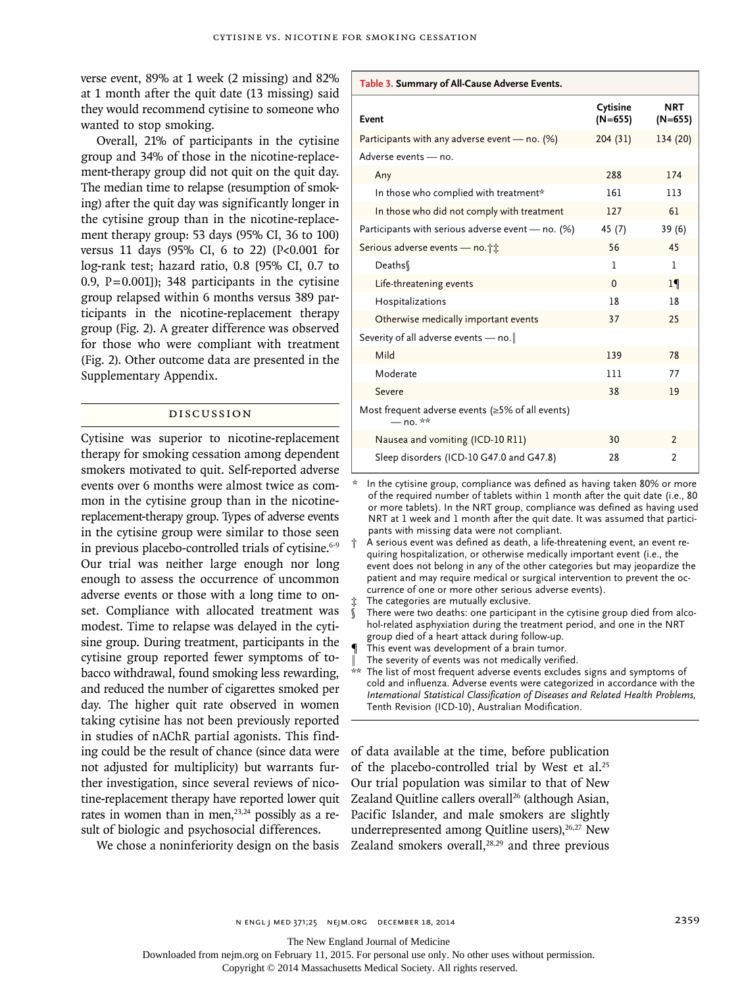verse event, 89% at 1 week (2 missing) and 82% at 1 month after the quit date (13 missing) said they would recommend cytisine to someone who wanted to stop smoking.

Overall, 21% of participants in the cytisine group and 34% of those in the nicotine-replacement-therapy group did not quit on the quit day. The median time to relapse (resumption of smoking) after the quit day was significantly longer in the cytisine group than in the nicotine-replacement therapy group: 53 days (95% CI, 36 to 100) versus 11 days (95% CI, 6 to 22) (P<0.001 for log-rank test; hazard ratio, 0.8 [95% CI, 0.7 to 0.9,  $P=0.001$ ]); 348 participants in the cytisine group relapsed within 6 months versus 389 participants in the nicotine-replacement therapy group (Fig. 2). A greater difference was observed for those who were compliant with treatment (Fig. 2). Other outcome data are presented in the Supplementary Appendix.

# Discussion

Cytisine was superior to nicotine-replacement therapy for smoking cessation among dependent smokers motivated to quit. Self-reported adverse events over 6 months were almost twice as common in the cytisine group than in the nicotinereplacement-therapy group. Types of adverse events in the cytisine group were similar to those seen in previous placebo-controlled trials of cytisine.<sup>6-9</sup> Our trial was neither large enough nor long enough to assess the occurrence of uncommon adverse events or those with a long time to onset. Compliance with allocated treatment was modest. Time to relapse was delayed in the cytisine group. During treatment, participants in the cytisine group reported fewer symptoms of tobacco withdrawal, found smoking less rewarding, and reduced the number of cigarettes smoked per day. The higher quit rate observed in women taking cytisine has not been previously reported in studies of nAChR partial agonists. This finding could be the result of chance (since data were not adjusted for multiplicity) but warrants further investigation, since several reviews of nicotine-replacement therapy have reported lower quit rates in women than in men, $23,24$  possibly as a result of biologic and psychosocial differences.

We chose a noninferiority design on the basis

**Table 3. Summary of All-Cause Adverse Events.**

| Event                                                            | Cytisine<br>$(N=655)$ | NRT<br>$(N=655)$ |
|------------------------------------------------------------------|-----------------------|------------------|
| Participants with any adverse event — no. $(\%)$                 | 204(31)               | 134 (20)         |
| Adverse events - no.                                             |                       |                  |
| Any                                                              | 288                   | 174              |
| In those who complied with treatment*                            | 161                   | 113              |
| In those who did not comply with treatment                       | 127                   | 61               |
| Participants with serious adverse event - no. $(\%)$             | 45 (7)                | 39 (6)           |
| Serious adverse events - no.                                     | 56                    | 45               |
| Deaths                                                           | 1                     | 1                |
| Life-threatening events                                          | $\Omega$              | $1\P$            |
| Hospitalizations                                                 | 18                    | 18               |
| Otherwise medically important events                             | 37                    | 25               |
| Severity of all adverse events - no.                             |                       |                  |
| Mild                                                             | 139                   | 78               |
| Moderate                                                         | 111                   | 77               |
| Severe                                                           | 38                    | 19               |
| Most frequent adverse events (≥5% of all events)<br>$-$ no. $**$ |                       |                  |
| Nausea and vomiting (ICD-10 R11)                                 | 30                    | $\overline{2}$   |
| Sleep disorders (ICD-10 G47.0 and G47.8)                         | 28                    | 2                |

In the cytisine group, compliance was defined as having taken 80% or more of the required number of tablets within 1 month after the quit date (i.e., 80 or more tablets). In the NRT group, compliance was defined as having used NRT at 1 week and 1 month after the quit date. It was assumed that participants with missing data were not compliant.

† A serious event was defined as death, a life-threatening event, an event requiring hospitalization, or otherwise medically important event (i.e., the event does not belong in any of the other categories but may jeopardize the patient and may require medical or surgical intervention to prevent the occurrence of one or more other serious adverse events).

The categories are mutually exclusive.

There were two deaths: one participant in the cytisine group died from alcohol-related asphyxiation during the treatment period, and one in the NRT group died of a heart attack during follow-up.

- This event was development of a brain tumor.
- The severity of events was not medically verified.

\*\* The list of most frequent adverse events excludes signs and symptoms of cold and influenza. Adverse events were categorized in accordance with the *International Statistical Classification of Diseases and Related Health Problems,* Tenth Revision (ICD-10), Australian Modification.

of data available at the time, before publication of the placebo-controlled trial by West et al.<sup>25</sup> Our trial population was similar to that of New Zealand Quitline callers overall<sup>26</sup> (although Asian, Pacific Islander, and male smokers are slightly underrepresented among Quitline users), $26,27$  New Zealand smokers overall, $28,29$  and three previous

The New England Journal of Medicine

Downloaded from nejm.org on February 11, 2015. For personal use only. No other uses without permission.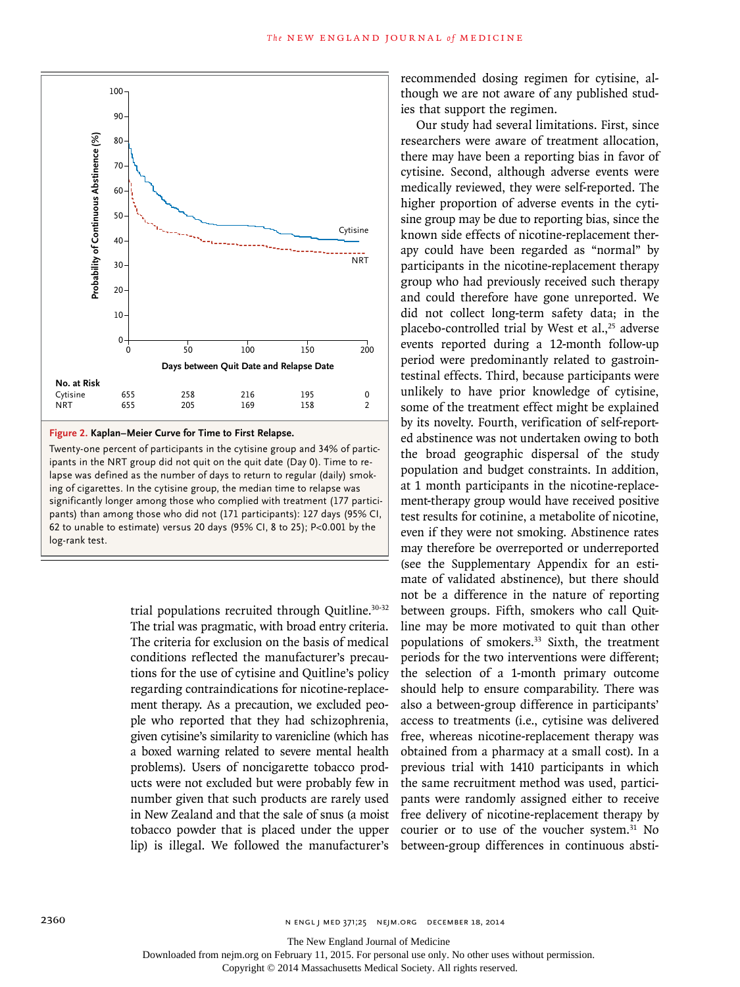

**Figure 2. Kaplan–Meier Curve for Time to First Relapse.**

Twenty-one percent of participants in the cytisine group and 34% of participants in the NRT group did not quit on the quit date (Day 0). Time to relapse was defined as the number of days to return to regular (daily) smoking of cigarettes. In the cytisine group, the median time to relapse was significantly longer among those who complied with treatment (177 participants) than among those who did not (171 participants): 127 days (95% CI, 62 to unable to estimate) versus 20 days (95% CI, 8 to 25); P<0.001 by the log-rank test.

> trial populations recruited through Quitline.30-32 The trial was pragmatic, with broad entry criteria. The criteria for exclusion on the basis of medical conditions reflected the manufacturer's precautions for the use of cytisine and Quitline's policy regarding contraindications for nicotine-replacement therapy. As a precaution, we excluded people who reported that they had schizophrenia, given cytisine's similarity to varenicline (which has a boxed warning related to severe mental health problems). Users of noncigarette tobacco products were not excluded but were probably few in number given that such products are rarely used in New Zealand and that the sale of snus (a moist tobacco powder that is placed under the upper lip) is illegal. We followed the manufacturer's

recommended dosing regimen for cytisine, although we are not aware of any published studies that support the regimen.

Our study had several limitations. First, since researchers were aware of treatment allocation, there may have been a reporting bias in favor of cytisine. Second, although adverse events were medically reviewed, they were self-reported. The higher proportion of adverse events in the cytisine group may be due to reporting bias, since the known side effects of nicotine-replacement therapy could have been regarded as "normal" by participants in the nicotine-replacement therapy group who had previously received such therapy and could therefore have gone unreported. We did not collect long-term safety data; in the placebo-controlled trial by West et al., $25$  adverse events reported during a 12-month follow-up period were predominantly related to gastrointestinal effects. Third, because participants were unlikely to have prior knowledge of cytisine, some of the treatment effect might be explained by its novelty. Fourth, verification of self-reported abstinence was not undertaken owing to both the broad geographic dispersal of the study population and budget constraints. In addition, at 1 month participants in the nicotine-replacement-therapy group would have received positive test results for cotinine, a metabolite of nicotine, even if they were not smoking. Abstinence rates may therefore be overreported or underreported (see the Supplementary Appendix for an estimate of validated abstinence), but there should not be a difference in the nature of reporting between groups. Fifth, smokers who call Quitline may be more motivated to quit than other populations of smokers.33 Sixth, the treatment periods for the two interventions were different; the selection of a 1-month primary outcome should help to ensure comparability. There was also a between-group difference in participants' access to treatments (i.e., cytisine was delivered free, whereas nicotine-replacement therapy was obtained from a pharmacy at a small cost). In a previous trial with 1410 participants in which the same recruitment method was used, participants were randomly assigned either to receive free delivery of nicotine-replacement therapy by courier or to use of the voucher system.<sup>31</sup> No between-group differences in continuous absti-

The New England Journal of Medicine

Downloaded from nejm.org on February 11, 2015. For personal use only. No other uses without permission.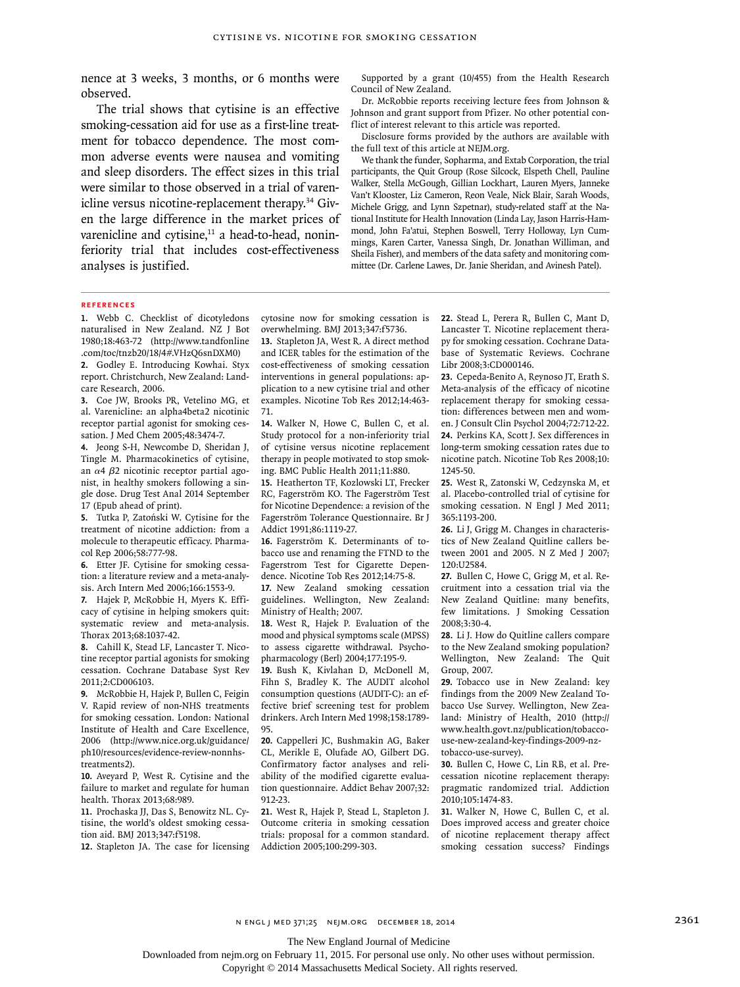nence at 3 weeks, 3 months, or 6 months were observed.

The trial shows that cytisine is an effective smoking-cessation aid for use as a first-line treatment for tobacco dependence. The most common adverse events were nausea and vomiting and sleep disorders. The effect sizes in this trial were similar to those observed in a trial of varenicline versus nicotine-replacement therapy.34 Given the large difference in the market prices of varenicline and cytisine, $11$  a head-to-head, noninferiority trial that includes cost-effectiveness analyses is justified.

Supported by a grant (10/455) from the Health Research Council of New Zealand.

Dr. McRobbie reports receiving lecture fees from Johnson & Johnson and grant support from Pfizer. No other potential conflict of interest relevant to this article was reported.

Disclosure forms provided by the authors are available with the full text of this article at NEJM.org.

We thank the funder, Sopharma, and Extab Corporation, the trial participants, the Quit Group (Rose Silcock, Elspeth Chell, Pauline Walker, Stella McGough, Gillian Lockhart, Lauren Myers, Janneke Van't Klooster, Liz Cameron, Reon Veale, Nick Blair, Sarah Woods, Michele Grigg, and Lynn Szpetnar), study-related staff at the National Institute for Health Innovation (Linda Lay, Jason Harris-Hammond, John Fa'atui, Stephen Boswell, Terry Holloway, Lyn Cummings, Karen Carter, Vanessa Singh, Dr. Jonathan Williman, and Sheila Fisher), and members of the data safety and monitoring committee (Dr. Carlene Lawes, Dr. Janie Sheridan, and Avinesh Patel).

#### **References**

**1.** Webb C. Checklist of dicotyledons naturalised in New Zealand. NZ J Bot 1980;18:463-72 (http://www.tandfonline .com/toc/tnzb20/18/4#.VHzQ6snDXM0)

**2.** Godley E. Introducing Kowhai. Styx report. Christchurch, New Zealand: Landcare Research, 2006.

**3.** Coe JW, Brooks PR, Vetelino MG, et al. Varenicline: an alpha4beta2 nicotinic receptor partial agonist for smoking cessation. J Med Chem 2005;48:3474-7.

**4.** Jeong S-H, Newcombe D, Sheridan J, Tingle M. Pharmacokinetics of cytisine, an α4 β2 nicotinic receptor partial agonist, in healthy smokers following a single dose. Drug Test Anal 2014 September 17 (Epub ahead of print).

**5.** Tutka P, Zatoński W. Cytisine for the treatment of nicotine addiction: from a molecule to therapeutic efficacy. Pharmacol Rep 2006;58:777-98.

**6.** Etter JF. Cytisine for smoking cessation: a literature review and a meta-analysis. Arch Intern Med 2006;166:1553-9.

**7.** Hajek P, McRobbie H, Myers K. Efficacy of cytisine in helping smokers quit: systematic review and meta-analysis. Thorax 2013;68:1037-42.

**8.** Cahill K, Stead LF, Lancaster T. Nicotine receptor partial agonists for smoking cessation. Cochrane Database Syst Rev 2011;2:CD006103.

**9.** McRobbie H, Hajek P, Bullen C, Feigin V. Rapid review of non-NHS treatments for smoking cessation. London: National Institute of Health and Care Excellence, 2006 (http://www.nice.org.uk/guidance/ ph10/resources/evidence-review-nonnhstreatments2).

**10.** Aveyard P, West R. Cytisine and the failure to market and regulate for human health. Thorax 2013;68:989.

**11.** Prochaska JJ, Das S, Benowitz NL. Cytisine, the world's oldest smoking cessation aid. BMJ 2013;347:f5198.

**12.** Stapleton JA. The case for licensing

cytosine now for smoking cessation is overwhelming. BMJ 2013;347:f5736.

**13.** Stapleton JA, West R. A direct method and ICER tables for the estimation of the cost-effectiveness of smoking cessation interventions in general populations: application to a new cytisine trial and other examples. Nicotine Tob Res 2012;14:463- 71.

**14.** Walker N, Howe C, Bullen C, et al. Study protocol for a non-inferiority trial of cytisine versus nicotine replacement therapy in people motivated to stop smoking. BMC Public Health 2011;11:880.

**15.** Heatherton TF, Kozlowski LT, Frecker RC, Fagerström KO. The Fagerström Test for Nicotine Dependence: a revision of the Fagerström Tolerance Questionnaire. Br J Addict 1991;86:1119-27.

**16.** Fagerström K. Determinants of tobacco use and renaming the FTND to the Fagerstrom Test for Cigarette Dependence. Nicotine Tob Res 2012;14:75-8.

**17.** New Zealand smoking cessation guidelines. Wellington, New Zealand: Ministry of Health; 2007.

**18.** West R, Hajek P. Evaluation of the mood and physical symptoms scale (MPSS) to assess cigarette withdrawal. Psychopharmacology (Berl) 2004;177:195-9.

**19.** Bush K, Kivlahan D, McDonell M, Fihn S, Bradley K. The AUDIT alcohol consumption questions (AUDIT-C): an effective brief screening test for problem drinkers. Arch Intern Med 1998;158:1789- 95.

**20.** Cappelleri JC, Bushmakin AG, Baker CL, Merikle E, Olufade AO, Gilbert DG. Confirmatory factor analyses and reliability of the modified cigarette evaluation questionnaire. Addict Behav 2007;32: 912-23.

**21.** West R, Hajek P, Stead L, Stapleton J. Outcome criteria in smoking cessation trials: proposal for a common standard. Addiction 2005;100:299-303.

**22.** Stead L, Perera R, Bullen C, Mant D, Lancaster T. Nicotine replacement therapy for smoking cessation. Cochrane Database of Systematic Reviews. Cochrane Libr 2008;3:CD000146.

**23.** Cepeda-Benito A, Reynoso JT, Erath S. Meta-analysis of the efficacy of nicotine replacement therapy for smoking cessation: differences between men and women. J Consult Clin Psychol 2004;72:712-22. **24.** Perkins KA, Scott J. Sex differences in long-term smoking cessation rates due to nicotine patch. Nicotine Tob Res 2008;10: 1245-50.

**25.** West R, Zatonski W, Cedzynska M, et al. Placebo-controlled trial of cytisine for smoking cessation. N Engl J Med 2011; 365:1193-200.

**26.** Li J, Grigg M. Changes in characteristics of New Zealand Quitline callers between 2001 and 2005. N Z Med J 2007; 120:U2584.

**27.** Bullen C, Howe C, Grigg M, et al. Recruitment into a cessation trial via the New Zealand Quitline: many benefits, few limitations. J Smoking Cessation 2008;3:30-4.

**28.** Li J. How do Quitline callers compare to the New Zealand smoking population? Wellington, New Zealand: The Quit Group, 2007.

**29.** Tobacco use in New Zealand: key findings from the 2009 New Zealand Tobacco Use Survey. Wellington, New Zealand: Ministry of Health, 2010 (http:// www.health.govt.nz/publication/tobaccouse-new-zealand-key-findings-2009-nztobacco-use-survey).

**30.** Bullen C, Howe C, Lin RB, et al. Precessation nicotine replacement therapy: pragmatic randomized trial. Addiction 2010;105:1474-83.

**31.** Walker N, Howe C, Bullen C, et al. Does improved access and greater choice of nicotine replacement therapy affect smoking cessation success? Findings

The New England Journal of Medicine

Downloaded from nejm.org on February 11, 2015. For personal use only. No other uses without permission.